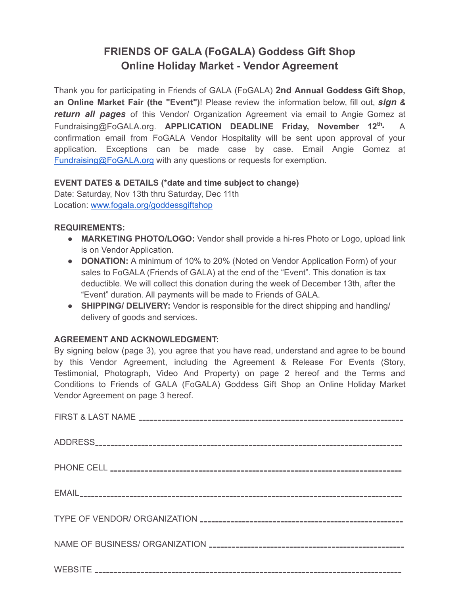# **FRIENDS OF GALA (FoGALA) Goddess Gift Shop Online Holiday Market - Vendor Agreement**

Thank you for participating in Friends of GALA (FoGALA) **2nd Annual Goddess Gift Shop, an Online Market Fair (the "Event")**! Please review the information below, fill out, *sign & return all pages* of this Vendor/ Organization Agreement via email to Angie Gomez at Fundraising@FoGALA.org. **APPLICATION DEADLINE Friday, November 12 th •** A confirmation email from FoGALA Vendor Hospitality will be sent upon approval of your application. Exceptions can be made case by case. Email Angie Gomez at [Fundraising@FoGALA.org](mailto:Fundraising@FoGALA.org) with any questions or requests for exemption.

## **EVENT DATES & DETAILS (\*date and time subject to change)**

Date: Saturday, Nov 13th thru Saturday, Dec 11th Location: [www.fogala.org/goddessgiftshop](http://www.fogala.org/goddessgiftshop)

## **REQUIREMENTS:**

- **● MARKETING PHOTO/LOGO:** Vendor shall provide a hi-res Photo or Logo, upload link is on Vendor Application.
- **● DONATION:** A minimum of 10% to 20% (Noted on Vendor Application Form) of your sales to FoGALA (Friends of GALA) at the end of the "Event". This donation is tax deductible. We will collect this donation during the week of December 13th, after the "Event" duration. All payments will be made to Friends of GALA.
- **● SHIPPING/ DELIVERY:** Vendor is responsible for the direct shipping and handling/ delivery of goods and services.

## **AGREEMENT AND ACKNOWLEDGMENT:**

By signing below (page 3), you agree that you have read, understand and agree to be bound by this Vendor Agreement, including the Agreement & Release For Events (Story, Testimonial, Photograph, Video And Property) on page 2 hereof and the Terms and Conditions to Friends of GALA (FoGALA) Goddess Gift Shop an Online Holiday Market Vendor Agreement on page 3 hereof.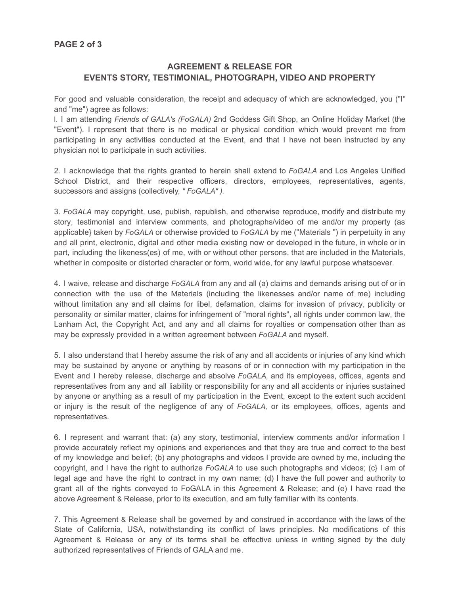## **AGREEMENT & RELEASE FOR EVENTS STORY, TESTIMONIAL, PHOTOGRAPH, VIDEO AND PROPERTY**

For good and valuable consideration, the receipt and adequacy of which are acknowledged, you ("I" and "me") agree as follows:

l. I am attending *Friends of GALA's (FoGALA)* 2nd Goddess Gift Shop, an Online Holiday Market (the "Event"). I represent that there is no medical or physical condition which would prevent me from participating in any activities conducted at the Event, and that I have not been instructed by any physician not to participate in such activities.

2. I acknowledge that the rights granted to herein shall extend to *FoGALA* and Los Angeles Unified School District, and their respective officers, directors, employees, representatives, agents, successors and assigns (collectively, *" FoGALA" ).*

3. *FoGALA* may copyright, use, publish, republish, and otherwise reproduce, modify and distribute my story, testimonial and interview comments, and photographs/video of me and/or my property (as applicable} taken by *FoGALA* or otherwise provided to *FoGALA* by me ("Materials ") in perpetuity in any and all print, electronic, digital and other media existing now or developed in the future, in whole or in part, including the likeness(es) of me, with or without other persons, that are included in the Materials, whether in composite or distorted character or form, world wide, for any lawful purpose whatsoever.

4. I waive, release and discharge *FoGALA* from any and all (a) claims and demands arising out of or in connection with the use of the Materials (including the likenesses and/or name of me) including without limitation any and all claims for libel, defamation, claims for invasion of privacy, publicity or personality or similar matter, claims for infringement of "moral rights", all rights under common law, the Lanham Act, the Copyright Act, and any and all claims for royalties or compensation other than as may be expressly provided in a written agreement between *FoGALA* and myself.

5. I also understand that I hereby assume the risk of any and all accidents or injuries of any kind which may be sustained by anyone or anything by reasons of or in connection with my participation in the Event and I hereby release, discharge and absolve *FoGALA,* and its employees, offices, agents and representatives from any and all liability or responsibility for any and all accidents or injuries sustained by anyone or anything as a result of my participation in the Event, except to the extent such accident or injury is the result of the negligence of any of *FoGALA,* or its employees, offices, agents and representatives.

6. I represent and warrant that: (a) any story, testimonial, interview comments and/or information I provide accurately reflect my opinions and experiences and that they are true and correct to the best of my knowledge and belief; (b) any photographs and videos I provide are owned by me, including the copyright, and I have the right to authorize *FoGALA* to use such photographs and videos; (c} I am of legal age and have the right to contract in my own name; (d) I have the full power and authority to grant all of the rights conveyed to FoGALA in this Agreement & Release; and (e) I have read the above Agreement & Release, prior to its execution, and am fully familiar with its contents.

7. This Agreement & Release shall be governed by and construed in accordance with the laws of the State of California, USA, notwithstanding its conflict of laws principles. No modifications of this Agreement & Release or any of its terms shall be effective unless in writing signed by the duly authorized representatives of Friends of GALA and me.